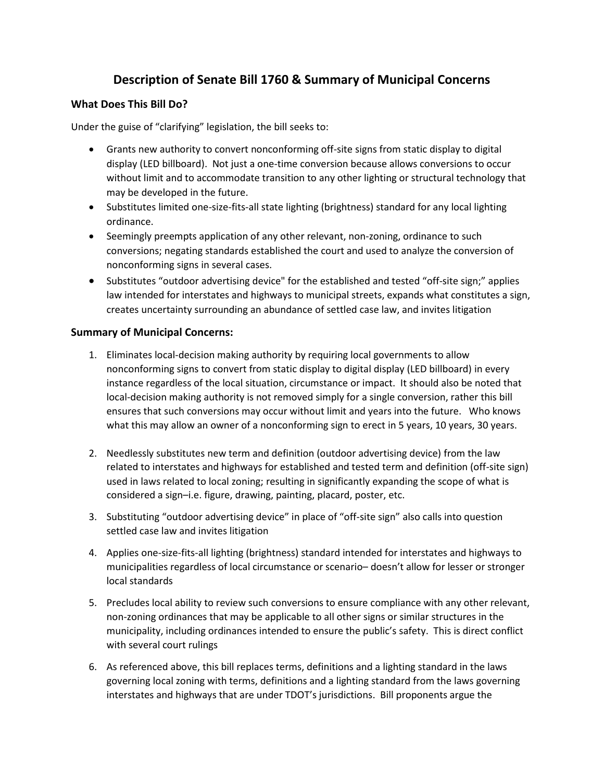## **Description of Senate Bill 1760 & Summary of Municipal Concerns**

## **What Does This Bill Do?**

Under the guise of "clarifying" legislation, the bill seeks to:

- Grants new authority to convert nonconforming off-site signs from static display to digital display (LED billboard). Not just a one-time conversion because allows conversions to occur without limit and to accommodate transition to any other lighting or structural technology that may be developed in the future.
- Substitutes limited one-size-fits-all state lighting (brightness) standard for any local lighting ordinance.
- Seemingly preempts application of any other relevant, non-zoning, ordinance to such conversions; negating standards established the court and used to analyze the conversion of nonconforming signs in several cases.
- Substitutes "outdoor advertising device" for the established and tested "off-site sign;" applies law intended for interstates and highways to municipal streets, expands what constitutes a sign, creates uncertainty surrounding an abundance of settled case law, and invites litigation

## **Summary of Municipal Concerns:**

- 1. Eliminates local-decision making authority by requiring local governments to allow nonconforming signs to convert from static display to digital display (LED billboard) in every instance regardless of the local situation, circumstance or impact. It should also be noted that local-decision making authority is not removed simply for a single conversion, rather this bill ensures that such conversions may occur without limit and years into the future. Who knows what this may allow an owner of a nonconforming sign to erect in 5 years, 10 years, 30 years.
- 2. Needlessly substitutes new term and definition (outdoor advertising device) from the law related to interstates and highways for established and tested term and definition (off-site sign) used in laws related to local zoning; resulting in significantly expanding the scope of what is considered a sign–i.e. figure, drawing, painting, placard, poster, etc.
- 3. Substituting "outdoor advertising device" in place of "off-site sign" also calls into question settled case law and invites litigation
- 4. Applies one-size-fits-all lighting (brightness) standard intended for interstates and highways to municipalities regardless of local circumstance or scenario– doesn't allow for lesser or stronger local standards
- 5. Precludes local ability to review such conversions to ensure compliance with any other relevant, non-zoning ordinances that may be applicable to all other signs or similar structures in the municipality, including ordinances intended to ensure the public's safety. This is direct conflict with several court rulings
- 6. As referenced above, this bill replaces terms, definitions and a lighting standard in the laws governing local zoning with terms, definitions and a lighting standard from the laws governing interstates and highways that are under TDOT's jurisdictions. Bill proponents argue the